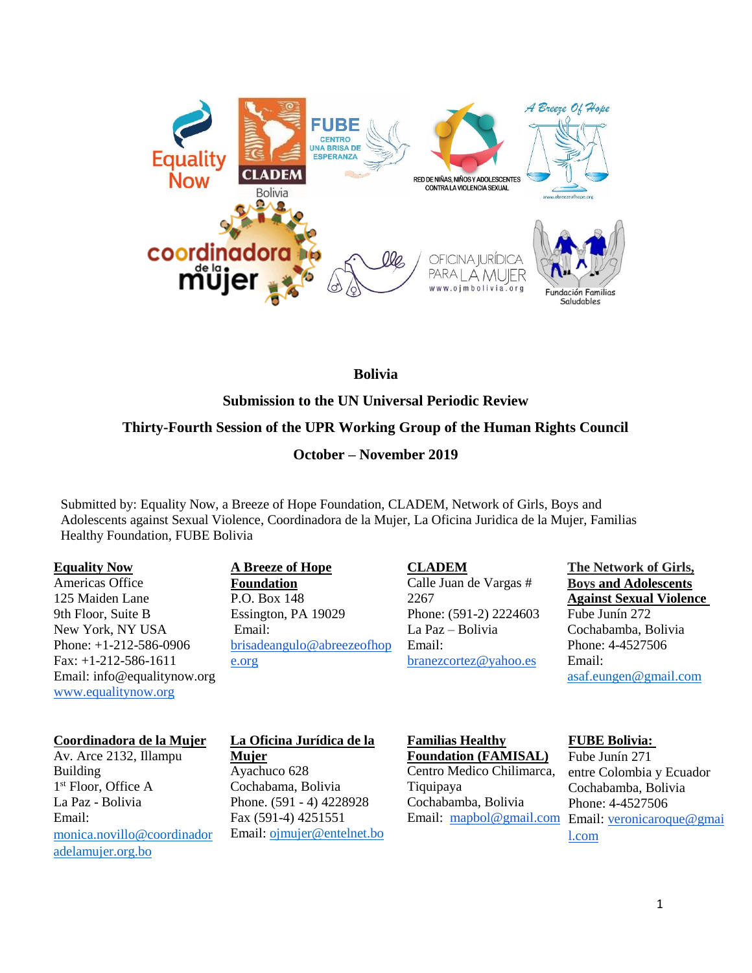

## **Bolivia**

**Submission to the UN Universal Periodic Review**

# **Thirty-Fourth Session of the UPR Working Group of the Human Rights Council**

## **October – November 2019**

Submitted by: Equality Now, a Breeze of Hope Foundation, CLADEM, Network of Girls, Boys and Adolescents against Sexual Violence, Coordinadora de la Mujer, La Oficina Juridica de la Mujer, Familias Healthy Foundation, FUBE Bolivia

#### **Equality Now**

Americas Office 125 Maiden Lane 9th Floor, Suite B New York, NY USA Phone: +1-212-586-0906 Fax: +1-212-586-1611 Email: info@equalitynow.org [www.equalitynow.org](http://www.equalitynow.org/)

# **A Breeze of Hope**

**Foundation** P.O. Box 148 Essington, PA 19029 Email: [brisadeangulo@abreezeofhop](mailto:brisadeangulo@abreezeofhope.org) [e.org](mailto:brisadeangulo@abreezeofhope.org)

**CLADEM** Calle Juan de Vargas # 2267 Phone: (591-2) 2224603 La Paz – Bolivia Email: [branezcortez@yahoo.es](mailto:branezcortez@yahoo.es)

**The Network of Girls, Boys and Adolescents Against Sexual Violence** Fube Junín 272 Cochabamba, Bolivia Phone: 4-4527506 Email: [asaf.eungen@gmail.com](mailto:asaf.eungen@gmail.com)

## **Coordinadora de la Mujer**

Av. Arce 2132, Illampu Building 1 st Floor, Office A La Paz - Bolivia Email: [monica.novillo@coordinador](mailto:monica.novillo@coordinadoradelamujer.org.bo) [adelamujer.org.bo](mailto:monica.novillo@coordinadoradelamujer.org.bo)

#### **La Oficina Jurídica de la Mujer**

Ayachuco 628 Cochabama, Bolivia Phone. (591 - 4) 4228928 Fax (591-4) 4251551 Email: [ojmujer@entelnet.bo](mailto:ojmujer@entelnet.bo)

#### **Familias Healthy Foundation (FAMISAL)**

Centro Medico Chilimarca, Tiquipaya Cochabamba, Bolivia

## **FUBE Bolivia:**

Email: [mapbol@gmail.com](mailto:mapbol@gmail.com) Email: [veronicaroque@gmai](mailto:veronicaroque@gmail.com) Fube Junín 271 entre Colombia y Ecuador Cochabamba, Bolivia Phone: 4-4527506 [l.com](mailto:veronicaroque@gmail.com)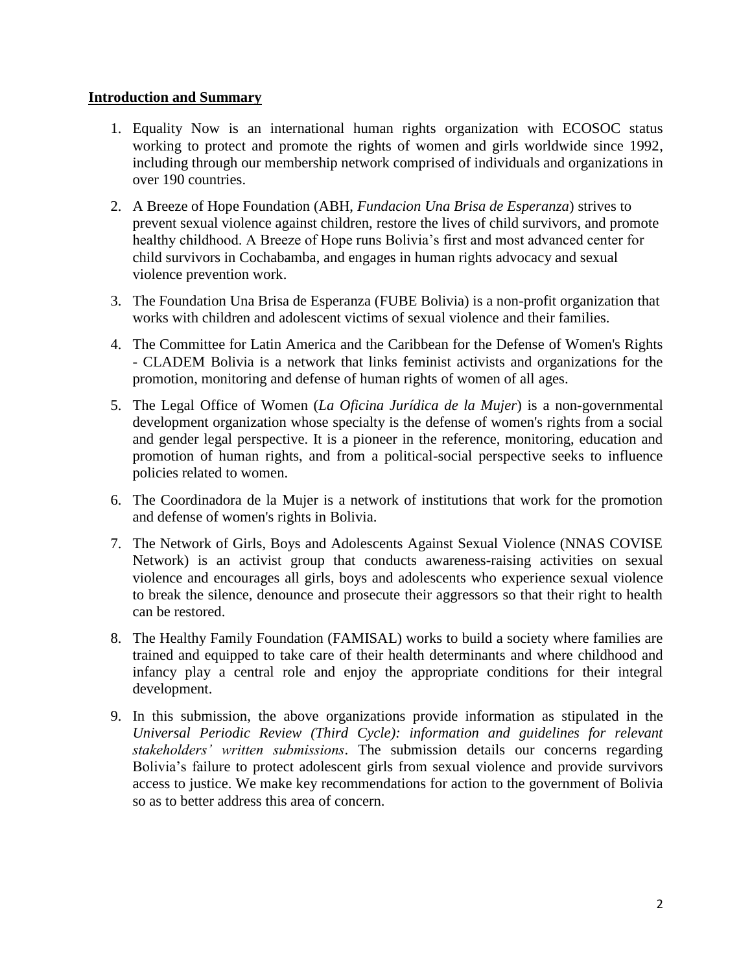## **Introduction and Summary**

- 1. Equality Now is an international human rights organization with ECOSOC status working to protect and promote the rights of women and girls worldwide since 1992, including through our membership network comprised of individuals and organizations in over 190 countries.
- 2. A Breeze of Hope Foundation (ABH, *Fundacion Una Brisa de Esperanza*) strives to prevent sexual violence against children, restore the lives of child survivors, and promote healthy childhood. A Breeze of Hope runs Bolivia's first and most advanced center for child survivors in Cochabamba, and engages in human rights advocacy and sexual violence prevention work.
- 3. The Foundation Una Brisa de Esperanza (FUBE Bolivia) is a non-profit organization that works with children and adolescent victims of sexual violence and their families.
- 4. The Committee for Latin America and the Caribbean for the Defense of Women's Rights - CLADEM Bolivia is a network that links feminist activists and organizations for the promotion, monitoring and defense of human rights of women of all ages.
- 5. The Legal Office of Women (*La Oficina Jurídica de la Mujer*) is a non-governmental development organization whose specialty is the defense of women's rights from a social and gender legal perspective. It is a pioneer in the reference, monitoring, education and promotion of human rights, and from a political-social perspective seeks to influence policies related to women.
- 6. The Coordinadora de la Mujer is a network of institutions that work for the promotion and defense of women's rights in Bolivia.
- 7. The Network of Girls, Boys and Adolescents Against Sexual Violence (NNAS COVISE Network) is an activist group that conducts awareness-raising activities on sexual violence and encourages all girls, boys and adolescents who experience sexual violence to break the silence, denounce and prosecute their aggressors so that their right to health can be restored.
- 8. The Healthy Family Foundation (FAMISAL) works to build a society where families are trained and equipped to take care of their health determinants and where childhood and infancy play a central role and enjoy the appropriate conditions for their integral development.
- 9. In this submission, the above organizations provide information as stipulated in the *Universal Periodic Review (Third Cycle): information and guidelines for relevant stakeholders' written submissions*. The submission details our concerns regarding Bolivia's failure to protect adolescent girls from sexual violence and provide survivors access to justice. We make key recommendations for action to the government of Bolivia so as to better address this area of concern.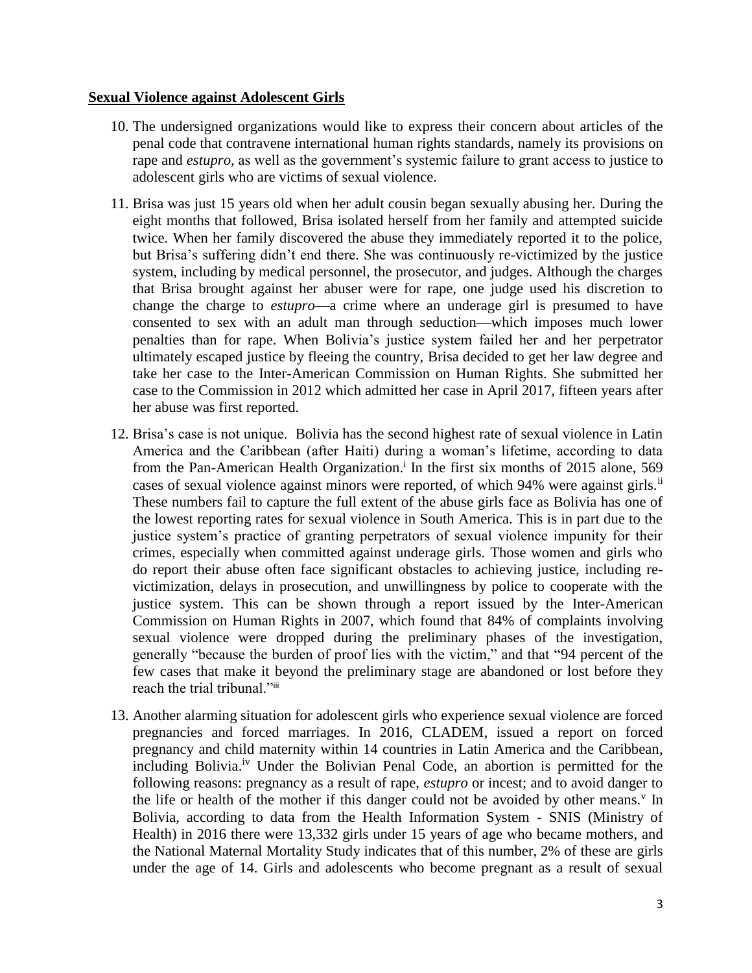## **Sexual Violence against Adolescent Girls**

- 10. The undersigned organizations would like to express their concern about articles of the penal code that contravene international human rights standards, namely its provisions on rape and *estupro,* as well as the government's systemic failure to grant access to justice to adolescent girls who are victims of sexual violence.
- 11. Brisa was just 15 years old when her adult cousin began sexually abusing her. During the eight months that followed, Brisa isolated herself from her family and attempted suicide twice. When her family discovered the abuse they immediately reported it to the police, but Brisa's suffering didn't end there. She was continuously re-victimized by the justice system, including by medical personnel, the prosecutor, and judges. Although the charges that Brisa brought against her abuser were for rape, one judge used his discretion to change the charge to *estupro*—a crime where an underage girl is presumed to have consented to sex with an adult man through seduction—which imposes much lower penalties than for rape. When Bolivia's justice system failed her and her perpetrator ultimately escaped justice by fleeing the country, Brisa decided to get her law degree and take her case to the Inter-American Commission on Human Rights. She submitted her case to the Commission in 2012 which admitted her case in April 2017, fifteen years after her abuse was first reported.
- 12. Brisa's case is not unique. Bolivia has the second highest rate of sexual violence in Latin America and the Caribbean (after Haiti) during a woman's lifetime, according to data from the Pan-American Health Organization.<sup>i</sup> In the first six months of 2015 alone, 569 cases of sexual violence against minors were reported, of which  $94\%$  were against girls.<sup>ii</sup> These numbers fail to capture the full extent of the abuse girls face as Bolivia has one of the lowest reporting rates for sexual violence in South America. This is in part due to the justice system's practice of granting perpetrators of sexual violence impunity for their crimes, especially when committed against underage girls. Those women and girls who do report their abuse often face significant obstacles to achieving justice, including revictimization, delays in prosecution, and unwillingness by police to cooperate with the justice system. This can be shown through a report issued by the Inter-American Commission on Human Rights in 2007, which found that 84% of complaints involving sexual violence were dropped during the preliminary phases of the investigation, generally "because the burden of proof lies with the victim," and that "94 percent of the few cases that make it beyond the preliminary stage are abandoned or lost before they reach the trial tribunal."<sup>iii</sup>
- 13. Another alarming situation for adolescent girls who experience sexual violence are forced pregnancies and forced marriages. In 2016, CLADEM, issued a report on forced pregnancy and child maternity within 14 countries in Latin America and the Caribbean, including Bolivia.<sup>iv</sup> Under the Bolivian Penal Code, an abortion is permitted for the following reasons: pregnancy as a result of rape, *estupro* or incest; and to avoid danger to the life or health of the mother if this danger could not be avoided by other means.<sup>v</sup> In Bolivia, according to data from the Health Information System - SNIS (Ministry of Health) in 2016 there were 13,332 girls under 15 years of age who became mothers, and the National Maternal Mortality Study indicates that of this number, 2% of these are girls under the age of 14. Girls and adolescents who become pregnant as a result of sexual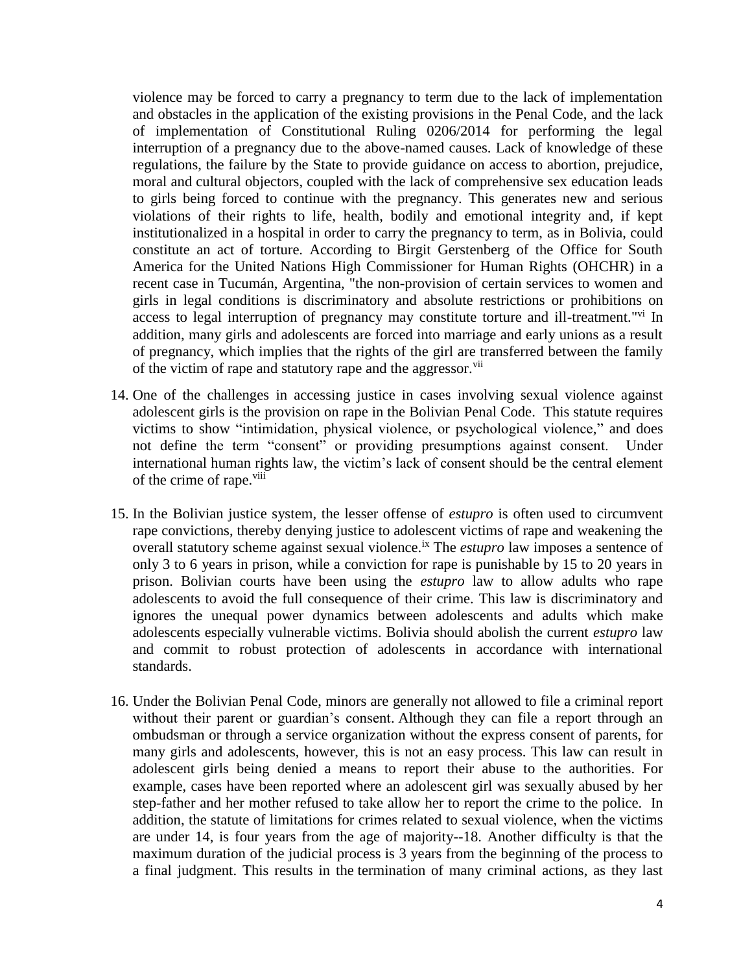violence may be forced to carry a pregnancy to term due to the lack of implementation and obstacles in the application of the existing provisions in the Penal Code, and the lack of implementation of Constitutional Ruling 0206/2014 for performing the legal interruption of a pregnancy due to the above-named causes. Lack of knowledge of these regulations, the failure by the State to provide guidance on access to abortion, prejudice, moral and cultural objectors, coupled with the lack of comprehensive sex education leads to girls being forced to continue with the pregnancy. This generates new and serious violations of their rights to life, health, bodily and emotional integrity and, if kept institutionalized in a hospital in order to carry the pregnancy to term, as in Bolivia, could constitute an act of torture. According to Birgit Gerstenberg of the Office for South America for the United Nations High Commissioner for Human Rights (OHCHR) in a recent case in Tucumán, Argentina, "the non-provision of certain services to women and girls in legal conditions is discriminatory and absolute restrictions or prohibitions on access to legal interruption of pregnancy may constitute torture and ill-treatment."<sup>vi</sup> In addition, many girls and adolescents are forced into marriage and early unions as a result of pregnancy, which implies that the rights of the girl are transferred between the family of the victim of rape and statutory rape and the aggressor.<sup>vii</sup>

- 14. One of the challenges in accessing justice in cases involving sexual violence against adolescent girls is the provision on rape in the Bolivian Penal Code. This statute requires victims to show "intimidation, physical violence, or psychological violence," and does not define the term "consent" or providing presumptions against consent. Under international human rights law, the victim's lack of consent should be the central element of the crime of rape.<sup>viii</sup>
- 15. In the Bolivian justice system, the lesser offense of *estupro* is often used to circumvent rape convictions, thereby denying justice to adolescent victims of rape and weakening the overall statutory scheme against sexual violence.<sup>ix</sup> The *estupro* law imposes a sentence of only 3 to 6 years in prison, while a conviction for rape is punishable by 15 to 20 years in prison. Bolivian courts have been using the *estupro* law to allow adults who rape adolescents to avoid the full consequence of their crime. This law is discriminatory and ignores the unequal power dynamics between adolescents and adults which make adolescents especially vulnerable victims. Bolivia should abolish the current *estupro* law and commit to robust protection of adolescents in accordance with international standards.
- 16. Under the Bolivian Penal Code, minors are generally not allowed to file a criminal report without their parent or guardian's consent. Although they can file a report through an ombudsman or through a service organization without the express consent of parents, for many girls and adolescents, however, this is not an easy process. This law can result in adolescent girls being denied a means to report their abuse to the authorities. For example, cases have been reported where an adolescent girl was sexually abused by her step-father and her mother refused to take allow her to report the crime to the police. In addition, the statute of limitations for crimes related to sexual violence, when the victims are under 14, is four years from the age of majority--18. Another difficulty is that the maximum duration of the judicial process is 3 years from the beginning of the process to a final judgment. This results in the termination of many criminal actions, as they last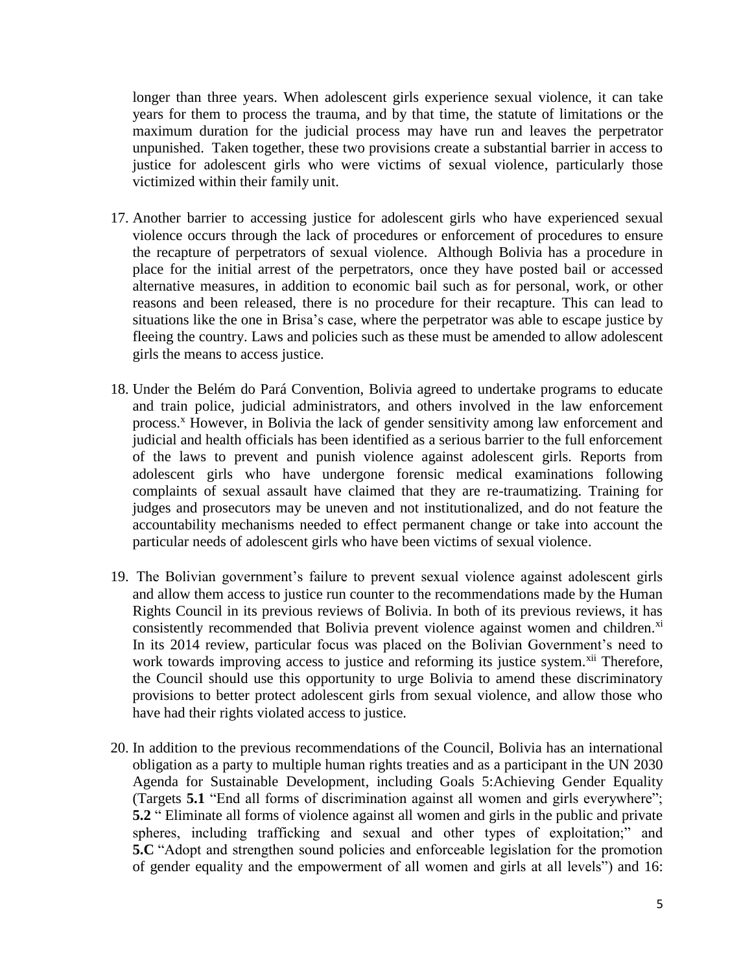longer than three years. When adolescent girls experience sexual violence, it can take years for them to process the trauma, and by that time, the statute of limitations or the maximum duration for the judicial process may have run and leaves the perpetrator unpunished. Taken together, these two provisions create a substantial barrier in access to justice for adolescent girls who were victims of sexual violence, particularly those victimized within their family unit.

- 17. Another barrier to accessing justice for adolescent girls who have experienced sexual violence occurs through the lack of procedures or enforcement of procedures to ensure the recapture of perpetrators of sexual violence. Although Bolivia has a procedure in place for the initial arrest of the perpetrators, once they have posted bail or accessed alternative measures, in addition to economic bail such as for personal, work, or other reasons and been released, there is no procedure for their recapture. This can lead to situations like the one in Brisa's case*,* where the perpetrator was able to escape justice by fleeing the country. Laws and policies such as these must be amended to allow adolescent girls the means to access justice.
- 18. Under the Belém do Pará Convention, Bolivia agreed to undertake programs to educate and train police, judicial administrators, and others involved in the law enforcement process.<sup>x</sup> However, in Bolivia the lack of gender sensitivity among law enforcement and judicial and health officials has been identified as a serious barrier to the full enforcement of the laws to prevent and punish violence against adolescent girls. Reports from adolescent girls who have undergone forensic medical examinations following complaints of sexual assault have claimed that they are re-traumatizing. Training for judges and prosecutors may be uneven and not institutionalized, and do not feature the accountability mechanisms needed to effect permanent change or take into account the particular needs of adolescent girls who have been victims of sexual violence.
- 19. The Bolivian government's failure to prevent sexual violence against adolescent girls and allow them access to justice run counter to the recommendations made by the Human Rights Council in its previous reviews of Bolivia. In both of its previous reviews, it has consistently recommended that Bolivia prevent violence against women and children.<sup>xi</sup> In its 2014 review, particular focus was placed on the Bolivian Government's need to work towards improving access to justice and reforming its justice system.<sup>xii</sup> Therefore, the Council should use this opportunity to urge Bolivia to amend these discriminatory provisions to better protect adolescent girls from sexual violence, and allow those who have had their rights violated access to justice.
- 20. In addition to the previous recommendations of the Council, Bolivia has an international obligation as a party to multiple human rights treaties and as a participant in the UN 2030 Agenda for Sustainable Development, including Goals 5:Achieving Gender Equality (Targets **5.1** "End all forms of discrimination against all women and girls everywhere"; **5.2** " Eliminate all forms of violence against all women and girls in the public and private spheres, including trafficking and sexual and other types of exploitation;" and **5.C** "Adopt and strengthen sound policies and enforceable legislation for the promotion of gender equality and the empowerment of all women and girls at all levels") and 16: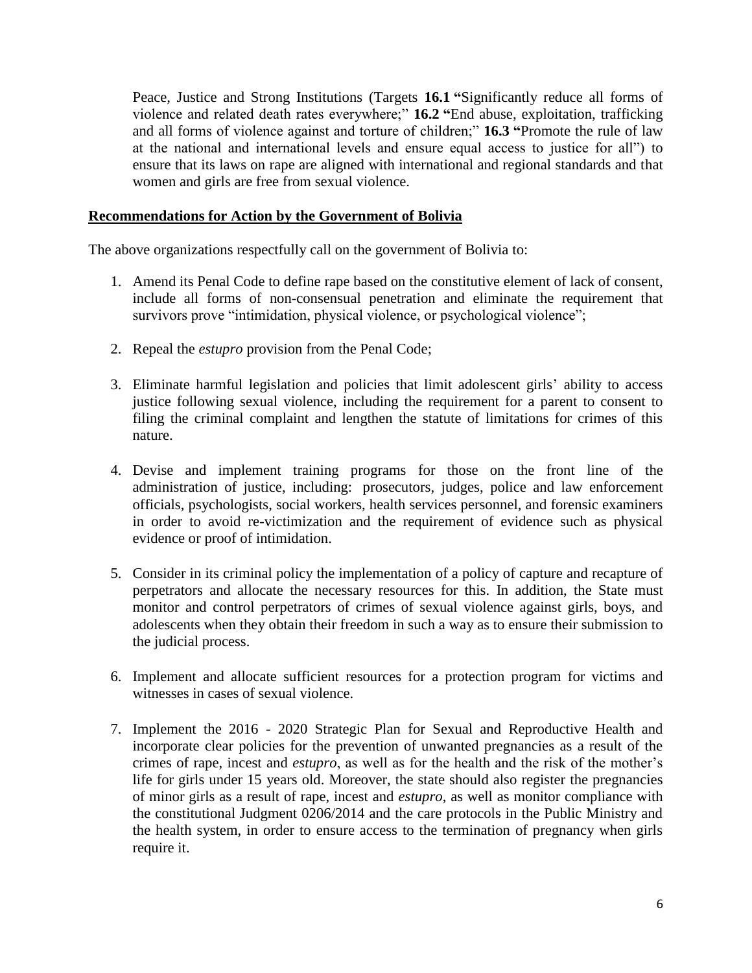Peace, Justice and Strong Institutions (Targets **16.1 "**Significantly reduce all forms of violence and related death rates everywhere;" **16.2 "**End abuse, exploitation, trafficking and all forms of violence against and torture of children;" **16.3 "**Promote the rule of law at the national and international levels and ensure equal access to justice for all") to ensure that its laws on rape are aligned with international and regional standards and that women and girls are free from sexual violence.

## **Recommendations for Action by the Government of Bolivia**

The above organizations respectfully call on the government of Bolivia to:

- 1. Amend its Penal Code to define rape based on the constitutive element of lack of consent, include all forms of non-consensual penetration and eliminate the requirement that survivors prove "intimidation, physical violence, or psychological violence";
- 2. Repeal the *estupro* provision from the Penal Code;
- 3. Eliminate harmful legislation and policies that limit adolescent girls' ability to access justice following sexual violence, including the requirement for a parent to consent to filing the criminal complaint and lengthen the statute of limitations for crimes of this nature.
- 4. Devise and implement training programs for those on the front line of the administration of justice, including: prosecutors, judges, police and law enforcement officials, psychologists, social workers, health services personnel, and forensic examiners in order to avoid re-victimization and the requirement of evidence such as physical evidence or proof of intimidation.
- 5. Consider in its criminal policy the implementation of a policy of capture and recapture of perpetrators and allocate the necessary resources for this. In addition, the State must monitor and control perpetrators of crimes of sexual violence against girls, boys, and adolescents when they obtain their freedom in such a way as to ensure their submission to the judicial process.
- 6. Implement and allocate sufficient resources for a protection program for victims and witnesses in cases of sexual violence.
- 7. Implement the 2016 2020 Strategic Plan for Sexual and Reproductive Health and incorporate clear policies for the prevention of unwanted pregnancies as a result of the crimes of rape, incest and *estupro*, as well as for the health and the risk of the mother's life for girls under 15 years old. Moreover, the state should also register the pregnancies of minor girls as a result of rape, incest and *estupro*, as well as monitor compliance with the constitutional Judgment 0206/2014 and the care protocols in the Public Ministry and the health system, in order to ensure access to the termination of pregnancy when girls require it.